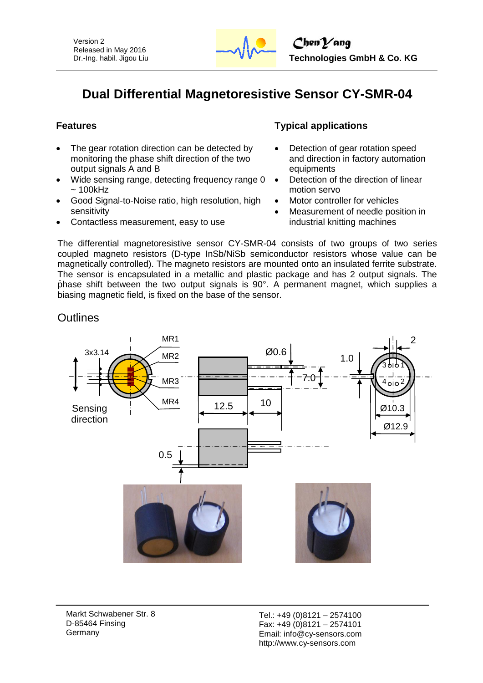

# **Dual Differential Magnetoresistive Sensor CY-SMR-04**

- The gear rotation direction can be detected by monitoring the phase shift direction of the two output signals A and B
- Wide sensing range, detecting frequency range 0  $~100$ kHz
- Good Signal-to-Noise ratio, high resolution, high sensitivity
- Contactless measurement, easy to use

# **Features Typical applications**

- Detection of gear rotation speed and direction in factory automation equipments
- Detection of the direction of linear motion servo
- Motor controller for vehicles
- Measurement of needle position in industrial knitting machines

The differential magnetoresistive sensor CY-SMR-04 consists of two groups of two series coupled magneto resistors (D-type InSb/NiSb semiconductor resistors whose value can be magnetically controlled). The magneto resistors are mounted onto an insulated ferrite substrate. The sensor is encapsulated in a metallic and plastic package and has 2 output signals. The phase shift between the two output signals is 90°. A permanent magnet, which supplies a biasing magnetic field, is fixed on the base of the sensor.

# **Outlines**



Markt Schwabener Str. 8 D-85464 Finsing Germany